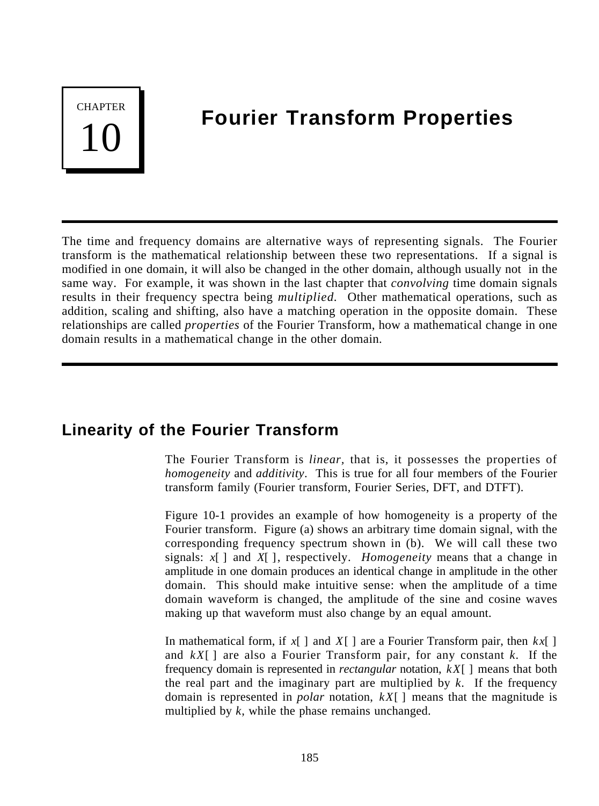**CHAPTER** 

# **Fourier Transform Properties**

The time and frequency domains are alternative ways of representing signals. The Fourier transform is the mathematical relationship between these two representations. If a signal is modified in one domain, it will also be changed in the other domain, although usually not in the same way. For example, it was shown in the last chapter that *convolving* time domain signals results in their frequency spectra being *multiplied.* Other mathematical operations, such as addition, scaling and shifting, also have a matching operation in the opposite domain. These relationships are called *properties* of the Fourier Transform, how a mathematical change in one domain results in a mathematical change in the other domain.

# **Linearity of the Fourier Transform**

The Fourier Transform is *linear,* that is, it possesses the properties of *homogeneity* and *additivity*. This is true for all four members of the Fourier transform family (Fourier transform, Fourier Series, DFT, and DTFT).

Figure 10-1 provides an example of how homogeneity is a property of the Fourier transform. Figure (a) shows an arbitrary time domain signal, with the corresponding frequency spectrum shown in (b). We will call these two signals: *x*[ ] and *X*[ ], respectively. *Homogeneity* means that a change in amplitude in one domain produces an identical change in amplitude in the other domain. This should make intuitive sense: when the amplitude of a time domain waveform is changed, the amplitude of the sine and cosine waves making up that waveform must also change by an equal amount.

In mathematical form, if  $x[$  ] and  $X[$  ] are a Fourier Transform pair, then  $kx[$  ] and *kX*[ ] are also a Fourier Transform pair, for any constant *k*. If the frequency domain is represented in *rectangular* notation, *kX*[ ] means that both the real part and the imaginary part are multiplied by *k*. If the frequency domain is represented in *polar* notation, *kX*[ ] means that the magnitude is multiplied by *k*, while the phase remains unchanged.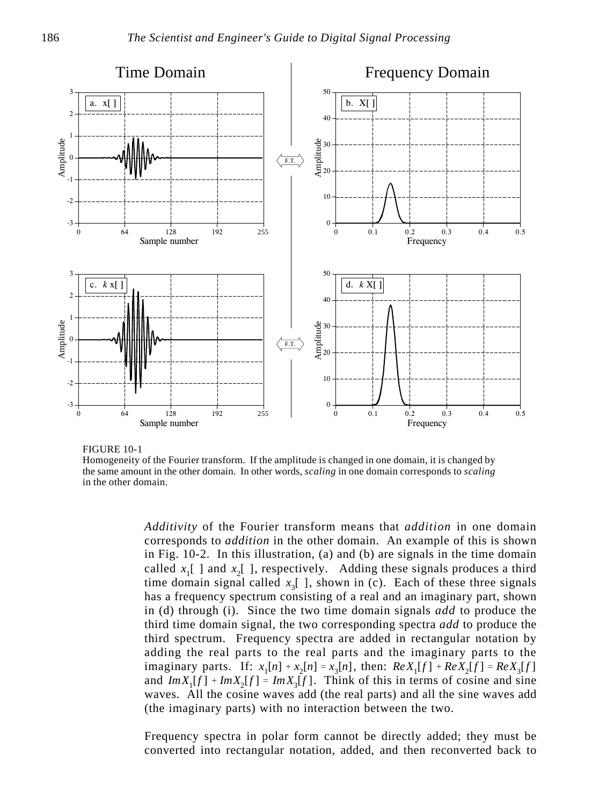

FIGURE 10-1

Homogeneity of the Fourier transform. If the amplitude is changed in one domain, it is changed by the same amount in the other domain. In other words, *scaling* in one domain corresponds to *scaling* in the other domain.

*Additivity* of the Fourier transform means that *addition* in one domain corresponds to *addition* in the other domain. An example of this is shown in Fig. 10-2. In this illustration, (a) and (b) are signals in the time domain called  $x_1$ [ ] and  $x_2$ [ ], respectively. Adding these signals produces a third time domain signal called  $x_3$ [ ], shown in (c). Each of these three signals has a frequency spectrum consisting of a real and an imaginary part, shown in (d) through (i). Since the two time domain signals *add* to produce the third time domain signal, the two corresponding spectra *add* to produce the third spectrum. Frequency spectra are added in rectangular notation by adding the real parts to the real parts and the imaginary parts to the imaginary parts. If:  $x_1[n] + x_2[n] = x_3[n]$ , then:  $Re X_1[f] + Re X_2[f] = Re X_3[f]$ and  $Im X_1[f] + Im X_2[f] = Im X_3[f]$ . Think of this in terms of cosine and sine waves. All the cosine waves add (the real parts) and all the sine waves add (the imaginary parts) with no interaction between the two.

Frequency spectra in polar form cannot be directly added; they must be converted into rectangular notation, added, and then reconverted back to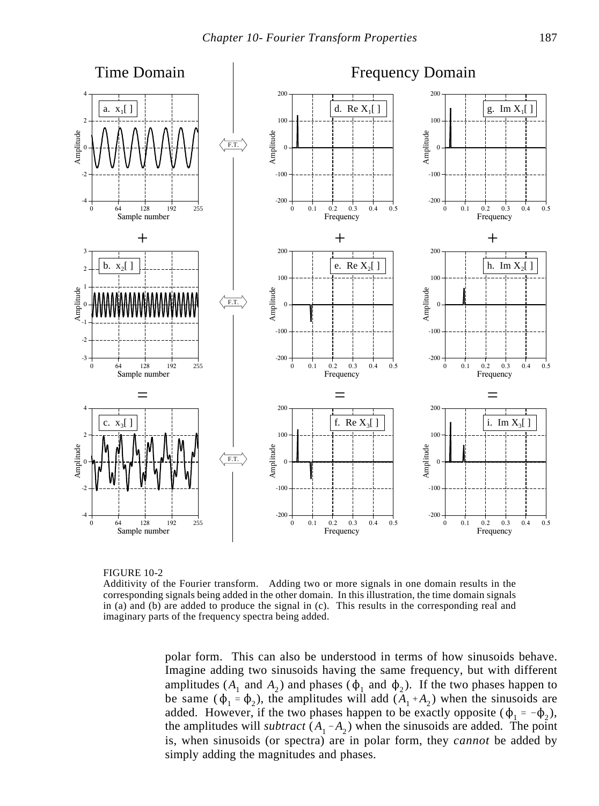

Additivity of the Fourier transform. Adding two or more signals in one domain results in the corresponding signals being added in the other domain. In this illustration, the time domain signals in (a) and (b) are added to produce the signal in (c). This results in the corresponding real and imaginary parts of the frequency spectra being added.

polar form. This can also be understood in terms of how sinusoids behave. Imagine adding two sinusoids having the same frequency, but with different amplitudes ( $A_1$  and  $A_2$ ) and phases ( $\phi_1$  and  $\phi_2$ ). If the two phases happen to be same  $(\phi_1 = \phi_2)$ , the amplitudes will add  $(A_1 + A_2)$  when the sinusoids are added. However, if the two phases happen to be exactly opposite ( $\phi_1 = -\phi_2$ ), the amplitudes will *subtract*  $(A_1 - A_2)$  when the sinusoids are added. The point is, when sinusoids (or spectra) are in polar form, they *cannot* be added by simply adding the magnitudes and phases.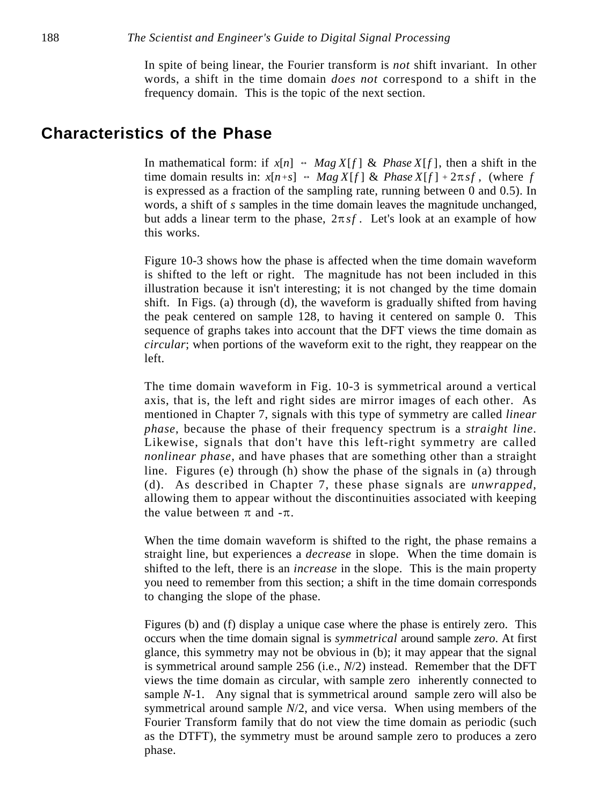In spite of being linear, the Fourier transform is *not* shift invariant. In other words, a shift in the time domain *does not* correspond to a shift in the frequency domain. This is the topic of the next section.

# **Characteristics of the Phase**

In mathematical form: if  $x[n] \leftrightarrow Mag X[f] \& Phase X[f]$ , then a shift in the time domain results in:  $x[n+s] \rightarrow Mag X[f] \& Phase X[f] + 2\pi sf$ , (where *f* is expressed as a fraction of the sampling rate, running between 0 and 0.5). In words, a shift of *s* samples in the time domain leaves the magnitude unchanged, but adds a linear term to the phase,  $2\pi sf$ . Let's look at an example of how this works.

Figure 10-3 shows how the phase is affected when the time domain waveform is shifted to the left or right. The magnitude has not been included in this illustration because it isn't interesting; it is not changed by the time domain shift. In Figs. (a) through (d), the waveform is gradually shifted from having the peak centered on sample 128, to having it centered on sample 0. This sequence of graphs takes into account that the DFT views the time domain as *circular*; when portions of the waveform exit to the right, they reappear on the left.

The time domain waveform in Fig. 10-3 is symmetrical around a vertical axis, that is, the left and right sides are mirror images of each other. As mentioned in Chapter 7, signals with this type of symmetry are called *linear phase*, because the phase of their frequency spectrum is a *straight line*. Likewise, signals that don't have this left-right symmetry are called *nonlinear phase*, and have phases that are something other than a straight line. Figures (e) through (h) show the phase of the signals in (a) through (d). As described in Chapter 7, these phase signals are *unwrapped*, allowing them to appear without the discontinuities associated with keeping the value between  $\pi$  and  $-\pi$ .

When the time domain waveform is shifted to the right, the phase remains a straight line, but experiences a *decrease* in slope. When the time domain is shifted to the left, there is an *increase* in the slope. This is the main property you need to remember from this section; a shift in the time domain corresponds to changing the slope of the phase.

Figures (b) and (f) display a unique case where the phase is entirely zero. This occurs when the time domain signal is *symmetrical* around sample *zero*. At first glance, this symmetry may not be obvious in (b); it may appear that the signal is symmetrical around sample 256 (i.e., *N*/2) instead. Remember that the DFT views the time domain as circular, with sample zero inherently connected to sample *N*-1. Any signal that is symmetrical around sample zero will also be symmetrical around sample *N*/2, and vice versa. When using members of the Fourier Transform family that do not view the time domain as periodic (such as the DTFT), the symmetry must be around sample zero to produces a zero phase.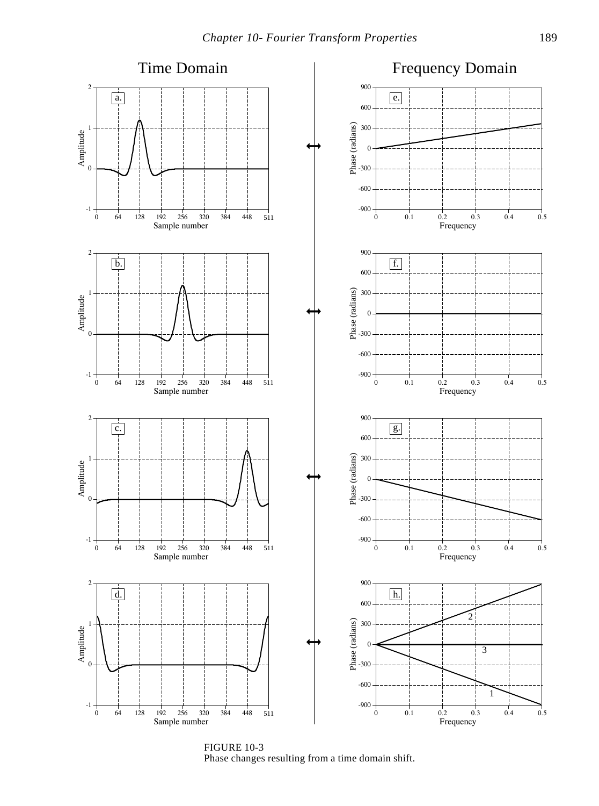

FIGURE 10-3 Phase changes resulting from a time domain shift.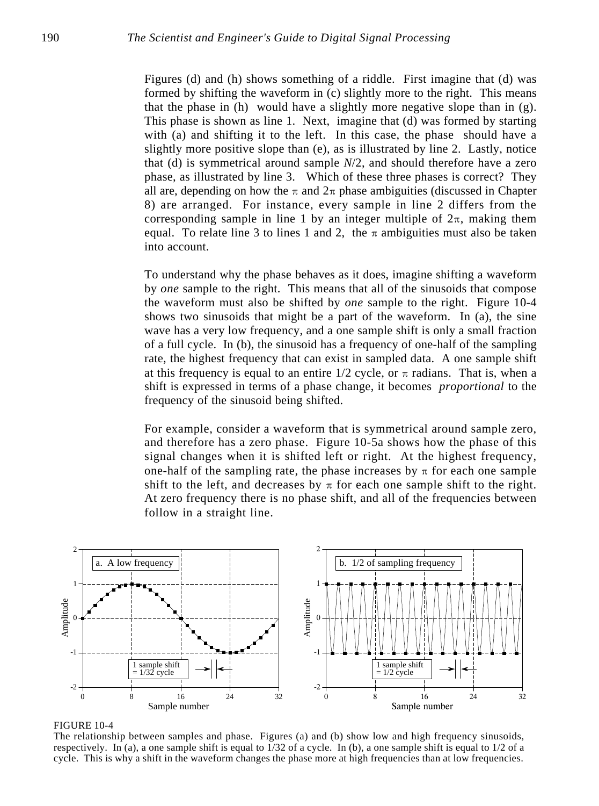Figures (d) and (h) shows something of a riddle. First imagine that (d) was formed by shifting the waveform in (c) slightly more to the right. This means that the phase in (h) would have a slightly more negative slope than in (g). This phase is shown as line 1. Next, imagine that (d) was formed by starting with (a) and shifting it to the left. In this case, the phase should have a slightly more positive slope than (e), as is illustrated by line 2. Lastly, notice that (d) is symmetrical around sample *N*/2, and should therefore have a zero phase, as illustrated by line 3. Which of these three phases is correct? They all are, depending on how the  $\pi$  and  $2\pi$  phase ambiguities (discussed in Chapter 8) are arranged. For instance, every sample in line 2 differs from the corresponding sample in line 1 by an integer multiple of  $2\pi$ , making them equal. To relate line 3 to lines 1 and 2, the  $\pi$  ambiguities must also be taken into account.

To understand why the phase behaves as it does, imagine shifting a waveform by *one* sample to the right. This means that all of the sinusoids that compose the waveform must also be shifted by *one* sample to the right. Figure 10-4 shows two sinusoids that might be a part of the waveform. In (a), the sine wave has a very low frequency, and a one sample shift is only a small fraction of a full cycle. In (b), the sinusoid has a frequency of one-half of the sampling rate, the highest frequency that can exist in sampled data. A one sample shift at this frequency is equal to an entire  $1/2$  cycle, or  $\pi$  radians. That is, when a shift is expressed in terms of a phase change, it becomes *proportional* to the frequency of the sinusoid being shifted.

For example, consider a waveform that is symmetrical around sample zero, and therefore has a zero phase. Figure 10-5a shows how the phase of this signal changes when it is shifted left or right. At the highest frequency, one-half of the sampling rate, the phase increases by  $\pi$  for each one sample shift to the left, and decreases by  $\pi$  for each one sample shift to the right. At zero frequency there is no phase shift, and all of the frequencies between follow in a straight line.



#### FIGURE 10-4

The relationship between samples and phase. Figures (a) and (b) show low and high frequency sinusoids, respectively. In (a), a one sample shift is equal to  $\frac{1}{32}$  of a cycle. In (b), a one sample shift is equal to  $\frac{1}{2}$  of a cycle. This is why a shift in the waveform changes the phase more at high frequencies than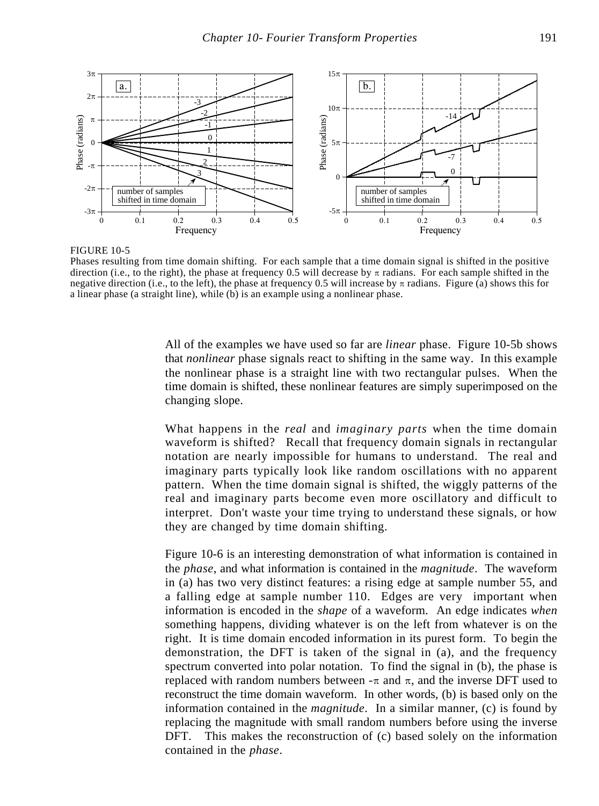

Phases resulting from time domain shifting. For each sample that a time domain signal is shifted in the positive direction (i.e., to the right), the phase at frequency 0.5 will decrease by  $\pi$  radians. For each sample shifted in the negative direction (i.e., to the left), the phase at frequency 0.5 will increase by  $\pi$  radians. Figure (a) shows this for a linear phase (a straight line), while (b) is an example using a nonlinear phase.

All of the examples we have used so far are *linear* phase. Figure 10-5b shows that *nonlinear* phase signals react to shifting in the same way. In this example the nonlinear phase is a straight line with two rectangular pulses. When the time domain is shifted, these nonlinear features are simply superimposed on the changing slope.

What happens in the *real* and *imaginary parts* when the time domain waveform is shifted? Recall that frequency domain signals in rectangular notation are nearly impossible for humans to understand. The real and imaginary parts typically look like random oscillations with no apparent pattern. When the time domain signal is shifted, the wiggly patterns of the real and imaginary parts become even more oscillatory and difficult to interpret. Don't waste your time trying to understand these signals, or how they are changed by time domain shifting.

Figure 10-6 is an interesting demonstration of what information is contained in the *phase*, and what information is contained in the *magnitude*. The waveform in (a) has two very distinct features: a rising edge at sample number 55, and a falling edge at sample number 110. Edges are very important when information is encoded in the *shape* of a waveform. An edge indicates *when* something happens, dividing whatever is on the left from whatever is on the right. It is time domain encoded information in its purest form. To begin the demonstration, the DFT is taken of the signal in (a), and the frequency spectrum converted into polar notation. To find the signal in (b), the phase is replaced with random numbers between  $-\pi$  and  $\pi$ , and the inverse DFT used to reconstruct the time domain waveform. In other words, (b) is based only on the information contained in the *magnitude*. In a similar manner, (c) is found by replacing the magnitude with small random numbers before using the inverse DFT. This makes the reconstruction of (c) based solely on the information contained in the *phase*.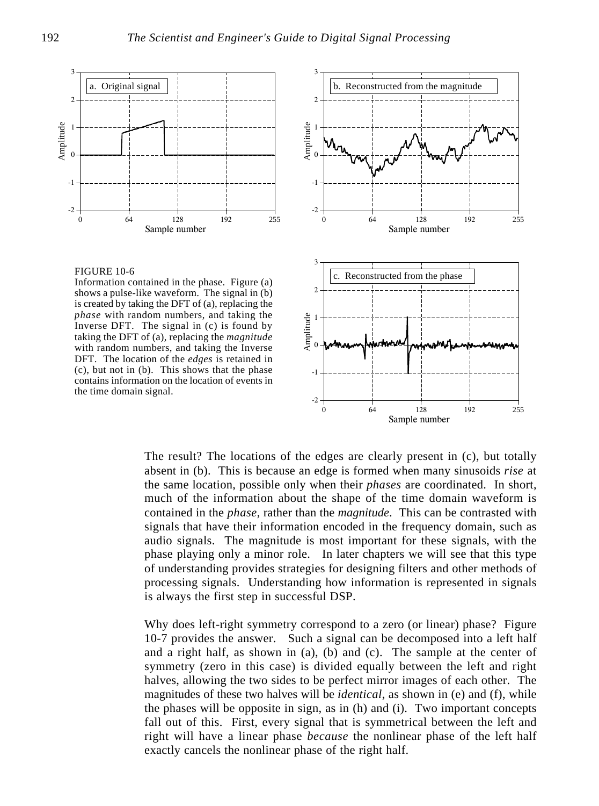

Information contained in the phase. Figure (a) shows a pulse-like waveform. The signal in (b) is created by taking the DFT of (a), replacing the *phase* with random numbers, and taking the Inverse DFT. The signal in (c) is found by taking the DFT of (a), replacing the *magnitude* with random numbers, and taking the Inverse DFT. The location of the *edges* is retained in (c), but not in (b). This shows that the phase contains information on the location of events in the time domain signal.



The result? The locations of the edges are clearly present in (c), but totally absent in (b). This is because an edge is formed when many sinusoids *rise* at the same location, possible only when their *phases* are coordinated. In short, much of the information about the shape of the time domain waveform is contained in the *phase*, rather than the *magnitude*. This can be contrasted with signals that have their information encoded in the frequency domain, such as audio signals. The magnitude is most important for these signals, with the phase playing only a minor role. In later chapters we will see that this type of understanding provides strategies for designing filters and other methods of processing signals. Understanding how information is represented in signals is always the first step in successful DSP.

Why does left-right symmetry correspond to a zero (or linear) phase? Figure 10-7 provides the answer. Such a signal can be decomposed into a left half and a right half, as shown in (a), (b) and (c). The sample at the center of symmetry (zero in this case) is divided equally between the left and right halves, allowing the two sides to be perfect mirror images of each other. The magnitudes of these two halves will be *identical*, as shown in (e) and (f), while the phases will be opposite in sign, as in (h) and (i). Two important concepts fall out of this. First, every signal that is symmetrical between the left and right will have a linear phase *because* the nonlinear phase of the left half exactly cancels the nonlinear phase of the right half.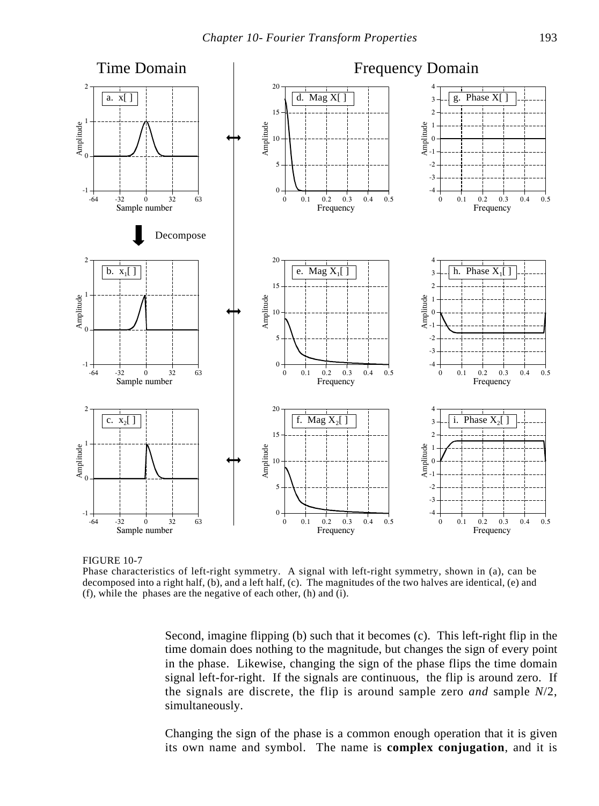

Phase characteristics of left-right symmetry. A signal with left-right symmetry, shown in (a), can be decomposed into a right half, (b), and a left half, (c). The magnitudes of the two halves are identical, (e) and (f), while the phases are the negative of each other, (h) and (i).

Second, imagine flipping (b) such that it becomes (c). This left-right flip in the time domain does nothing to the magnitude, but changes the sign of every point in the phase. Likewise, changing the sign of the phase flips the time domain signal left-for-right. If the signals are continuous, the flip is around zero. If the signals are discrete, the flip is around sample zero *and* sample *N*/2, simultaneously.

Changing the sign of the phase is a common enough operation that it is given its own name and symbol. The name is **complex conjugation**, and it is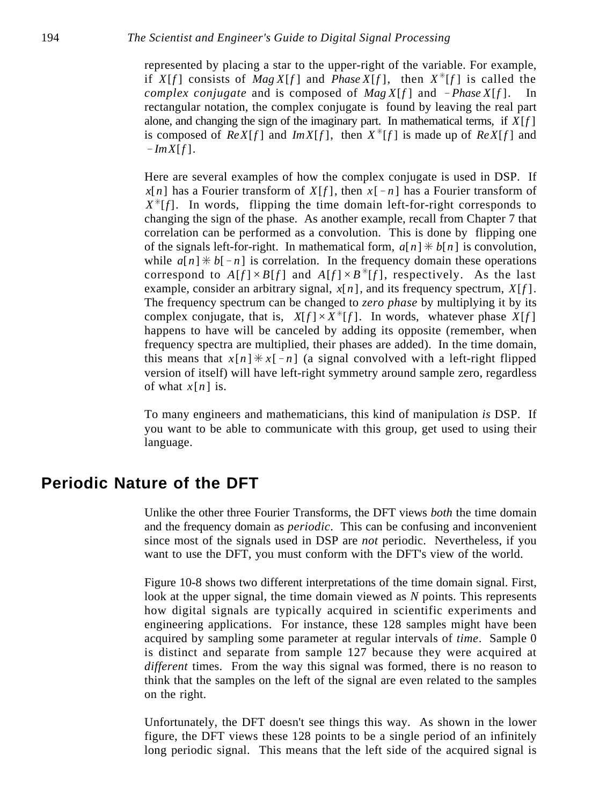represented by placing a star to the upper-right of the variable. For example, if  $X[f]$  consists of *Mag*  $X[f]$  and *Phase*  $X[f]$ , then  $X^*[f]$  is called the *complex conjugate* and is composed of *Mag*  $X[f]$  and *-Phase*  $X[f]$ . In rectangular notation, the complex conjugate is found by leaving the real part alone, and changing the sign of the imaginary part. In mathematical terms, if  $X[f]$ is composed of  $Re X[f]$  and  $Im X[f]$ , then  $X^*[f]$  is made up of  $Re X[f]$  and  $-ImX[f]$ .

Here are several examples of how the complex conjugate is used in DSP. If *x*[*n*] has a Fourier transform of *X*[*f*], then *x*[ $-n$ ] has a Fourier transform of  $X^*[f]$ . In words, flipping the time domain left-for-right corresponds to changing the sign of the phase. As another example, recall from Chapter 7 that correlation can be performed as a convolution. This is done by flipping one of the signals left-for-right. In mathematical form,  $a[n] \ast b[n]$  is convolution, while  $a[n] \nless b[-n]$  is correlation. In the frequency domain these operations correspond to  $A[f] \times B[f]$  and  $A[f] \times B^*[f]$ , respectively. As the last example, consider an arbitrary signal,  $x[n]$ , and its frequency spectrum,  $X[f]$ . The frequency spectrum can be changed to *zero phase* by multiplying it by its complex conjugate, that is,  $X[f] \times X^* [f]$ . In words, whatever phase  $X[f]$ happens to have will be canceled by adding its opposite (remember, when frequency spectra are multiplied, their phases are added). In the time domain, this means that  $x[n] \times x[-n]$  (a signal convolved with a left-right flipped version of itself) will have left-right symmetry around sample zero, regardless of what  $x[n]$  is.

To many engineers and mathematicians, this kind of manipulation *is* DSP. If you want to be able to communicate with this group, get used to using their language.

# **Periodic Nature of the DFT**

Unlike the other three Fourier Transforms, the DFT views *both* the time domain and the frequency domain as *periodic*. This can be confusing and inconvenient since most of the signals used in DSP are *not* periodic. Nevertheless, if you want to use the DFT, you must conform with the DFT's view of the world.

Figure 10-8 shows two different interpretations of the time domain signal. First, look at the upper signal, the time domain viewed as *N* points. This represents how digital signals are typically acquired in scientific experiments and engineering applications. For instance, these 128 samples might have been acquired by sampling some parameter at regular intervals of *time*. Sample 0 is distinct and separate from sample 127 because they were acquired at *different* times. From the way this signal was formed, there is no reason to think that the samples on the left of the signal are even related to the samples on the right.

Unfortunately, the DFT doesn't see things this way. As shown in the lower figure, the DFT views these 128 points to be a single period of an infinitely long periodic signal. This means that the left side of the acquired signal is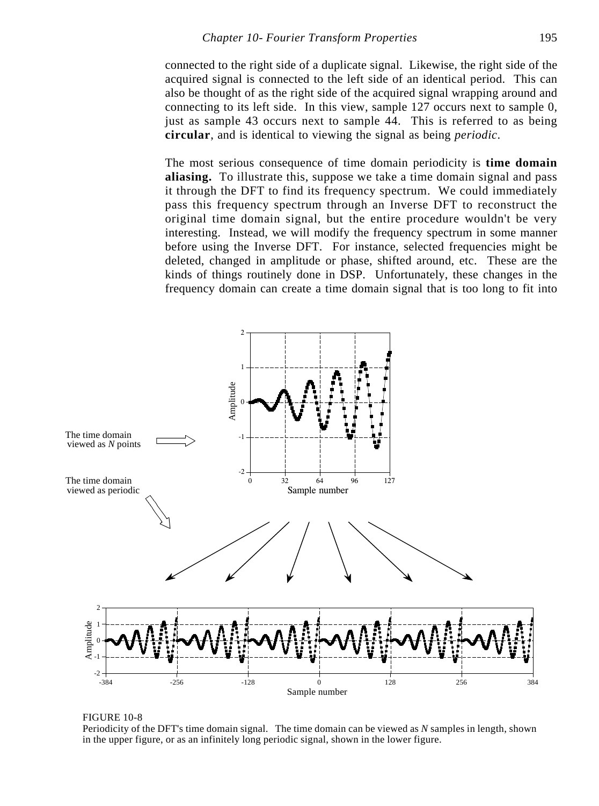connected to the right side of a duplicate signal. Likewise, the right side of the acquired signal is connected to the left side of an identical period. This can also be thought of as the right side of the acquired signal wrapping around and connecting to its left side. In this view, sample 127 occurs next to sample 0, just as sample 43 occurs next to sample 44. This is referred to as being **circular**, and is identical to viewing the signal as being *periodic*.

The most serious consequence of time domain periodicity is **time domain aliasing.** To illustrate this, suppose we take a time domain signal and pass it through the DFT to find its frequency spectrum. We could immediately pass this frequency spectrum through an Inverse DFT to reconstruct the original time domain signal, but the entire procedure wouldn't be very interesting. Instead, we will modify the frequency spectrum in some manner before using the Inverse DFT. For instance, selected frequencies might be deleted, changed in amplitude or phase, shifted around, etc. These are the kinds of things routinely done in DSP. Unfortunately, these changes in the frequency domain can create a time domain signal that is too long to fit into





Periodicity of the DFT's time domain signal. The time domain can be viewed as *N* samples in length, shown in the upper figure, or as an infinitely long periodic signal, shown in the lower figure.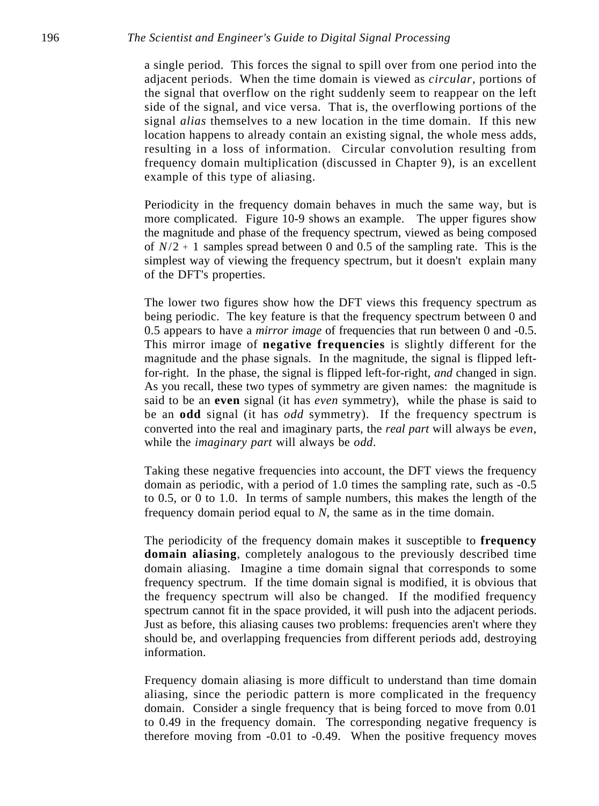### 196 *The Scientist and Engineer's Guide to Digital Signal Processing*

a single period. This forces the signal to spill over from one period into the adjacent periods. When the time domain is viewed as *circular*, portions of the signal that overflow on the right suddenly seem to reappear on the left side of the signal, and vice versa. That is, the overflowing portions of the signal *alias* themselves to a new location in the time domain. If this new location happens to already contain an existing signal, the whole mess adds, resulting in a loss of information. Circular convolution resulting from frequency domain multiplication (discussed in Chapter 9), is an excellent example of this type of aliasing.

Periodicity in the frequency domain behaves in much the same way, but is more complicated. Figure 10-9 shows an example. The upper figures show the magnitude and phase of the frequency spectrum, viewed as being composed of  $N/2$  + 1 samples spread between 0 and 0.5 of the sampling rate. This is the simplest way of viewing the frequency spectrum, but it doesn't explain many of the DFT's properties.

The lower two figures show how the DFT views this frequency spectrum as being periodic. The key feature is that the frequency spectrum between 0 and 0.5 appears to have a *mirror image* of frequencies that run between 0 and -0.5. This mirror image of **negative frequencies** is slightly different for the magnitude and the phase signals. In the magnitude, the signal is flipped leftfor-right. In the phase, the signal is flipped left-for-right, *and* changed in sign. As you recall, these two types of symmetry are given names: the magnitude is said to be an **even** signal (it has *even* symmetry), while the phase is said to be an **odd** signal (it has *odd* symmetry). If the frequency spectrum is converted into the real and imaginary parts, the *real part* will always be *even*, while the *imaginary part* will always be *odd*.

Taking these negative frequencies into account, the DFT views the frequency domain as periodic, with a period of 1.0 times the sampling rate, such as -0.5 to 0.5, or 0 to 1.0. In terms of sample numbers, this makes the length of the frequency domain period equal to *N*, the same as in the time domain.

The periodicity of the frequency domain makes it susceptible to **frequency domain aliasing**, completely analogous to the previously described time domain aliasing. Imagine a time domain signal that corresponds to some frequency spectrum. If the time domain signal is modified, it is obvious that the frequency spectrum will also be changed. If the modified frequency spectrum cannot fit in the space provided, it will push into the adjacent periods. Just as before, this aliasing causes two problems: frequencies aren't where they should be, and overlapping frequencies from different periods add, destroying information.

Frequency domain aliasing is more difficult to understand than time domain aliasing, since the periodic pattern is more complicated in the frequency domain. Consider a single frequency that is being forced to move from 0.01 to 0.49 in the frequency domain. The corresponding negative frequency is therefore moving from -0.01 to -0.49. When the positive frequency moves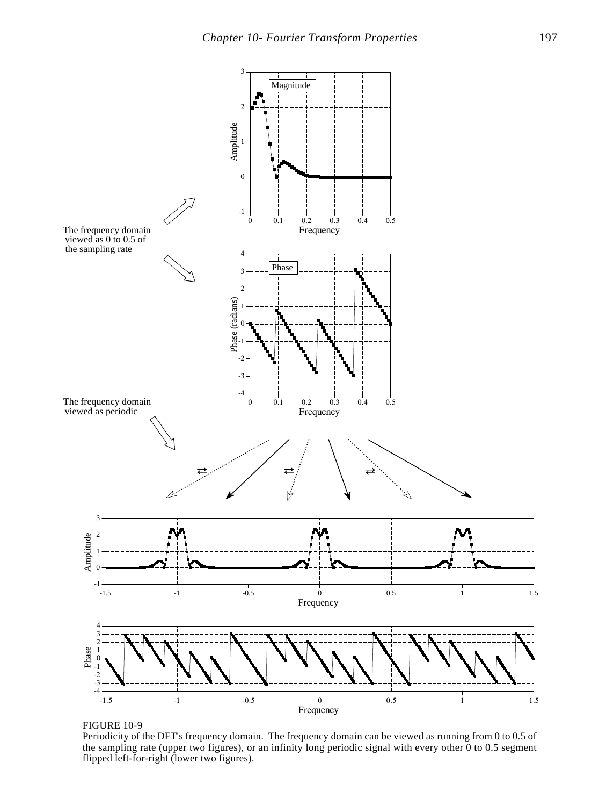

FIGURE 10-9

Periodicity of the DFT's frequency domain. The frequency domain can be viewed as running from 0 to 0.5 of the sampling rate (upper two figures), or an infinity long periodic signal with every other 0 to 0.5 segment flipped left-for-right (lower two figures).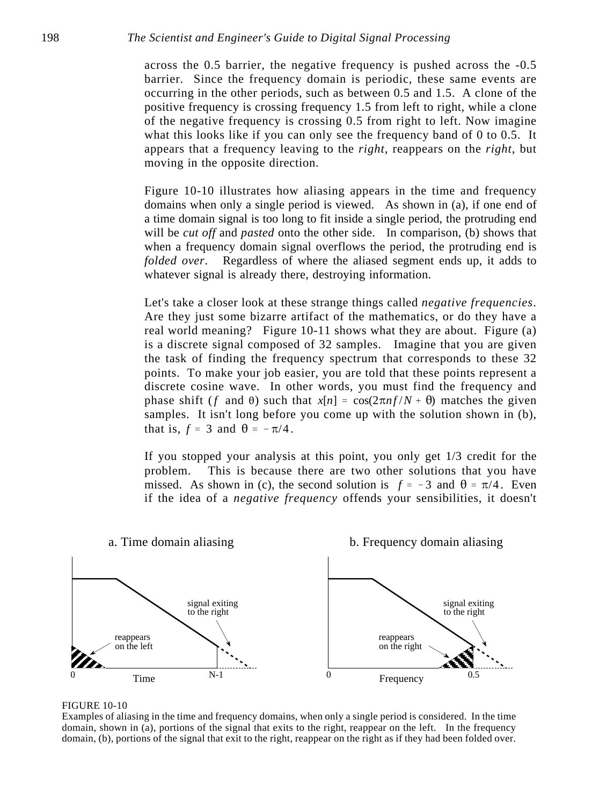across the 0.5 barrier, the negative frequency is pushed across the -0.5 barrier. Since the frequency domain is periodic, these same events are occurring in the other periods, such as between 0.5 and 1.5. A clone of the positive frequency is crossing frequency 1.5 from left to right, while a clone of the negative frequency is crossing 0.5 from right to left. Now imagine what this looks like if you can only see the frequency band of 0 to 0.5. It appears that a frequency leaving to the *right*, reappears on the *right*, but moving in the opposite direction.

Figure 10-10 illustrates how aliasing appears in the time and frequency domains when only a single period is viewed. As shown in (a), if one end of a time domain signal is too long to fit inside a single period, the protruding end will be *cut off* and *pasted* onto the other side. In comparison, (b) shows that when a frequency domain signal overflows the period, the protruding end is *folded over*. Regardless of where the aliased segment ends up, it adds to whatever signal is already there, destroying information.

Let's take a closer look at these strange things called *negative frequencies*. Are they just some bizarre artifact of the mathematics, or do they have a real world meaning? Figure 10-11 shows what they are about. Figure (a) is a discrete signal composed of 32 samples. Imagine that you are given the task of finding the frequency spectrum that corresponds to these 32 points. To make your job easier, you are told that these points represent a discrete cosine wave. In other words, you must find the frequency and phase shift (*f* and  $\theta$ ) such that  $x[n] = \cos(2\pi n f/N + \theta)$  matches the given samples. It isn't long before you come up with the solution shown in (b), that is,  $f = 3$  and  $\theta = -\pi/4$ .

If you stopped your analysis at this point, you only get 1/3 credit for the problem. This is because there are two other solutions that you have missed. As shown in (c), the second solution is  $f = -3$  and  $\theta = \pi/4$ . Even if the idea of a *negative frequency* offends your sensibilities, it doesn't



### FIGURE 10-10

Examples of aliasing in the time and frequency domains, when only a single period is considered. In the time domain, shown in (a), portions of the signal that exits to the right, reappear on the left. In the frequency domain, (b), portions of the signal that exit to the right, reappear on the right as if they had been folded over.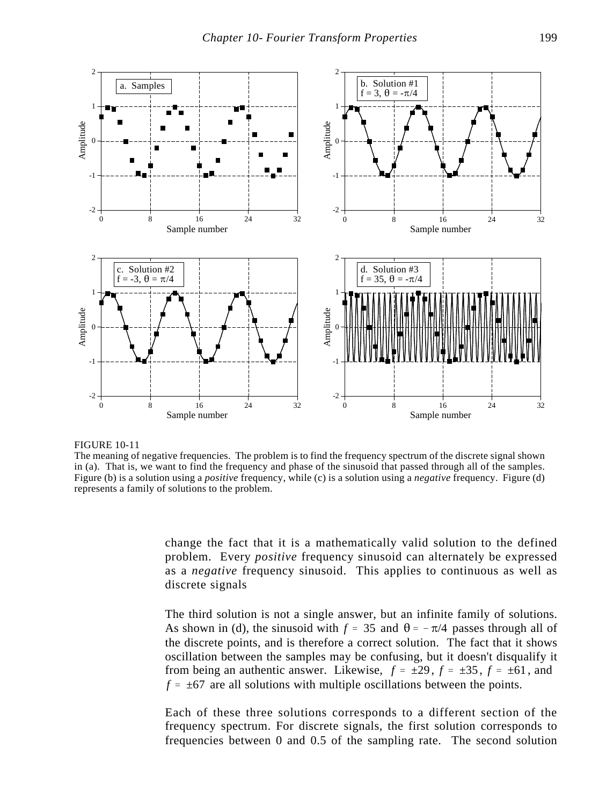

The meaning of negative frequencies. The problem is to find the frequency spectrum of the discrete signal shown in (a). That is, we want to find the frequency and phase of the sinusoid that passed through all of the samples. Figure (b) is a solution using a *positive* frequency, while (c) is a solution using a *negative* frequency. Figure (d) represents a family of solutions to the problem.

change the fact that it is a mathematically valid solution to the defined problem. Every *positive* frequency sinusoid can alternately be expressed as a *negative* frequency sinusoid. This applies to continuous as well as discrete signals

The third solution is not a single answer, but an infinite family of solutions. As shown in (d), the sinusoid with  $f = 35$  and  $\theta = -\pi/4$  passes through all of the discrete points, and is therefore a correct solution. The fact that it shows oscillation between the samples may be confusing, but it doesn't disqualify it from being an authentic answer. Likewise,  $f = \pm 29$ ,  $f = \pm 35$ ,  $f = \pm 61$ , and  $f = \pm 67$  are all solutions with multiple oscillations between the points.

Each of these three solutions corresponds to a different section of the frequency spectrum. For discrete signals, the first solution corresponds to frequencies between 0 and 0.5 of the sampling rate. The second solution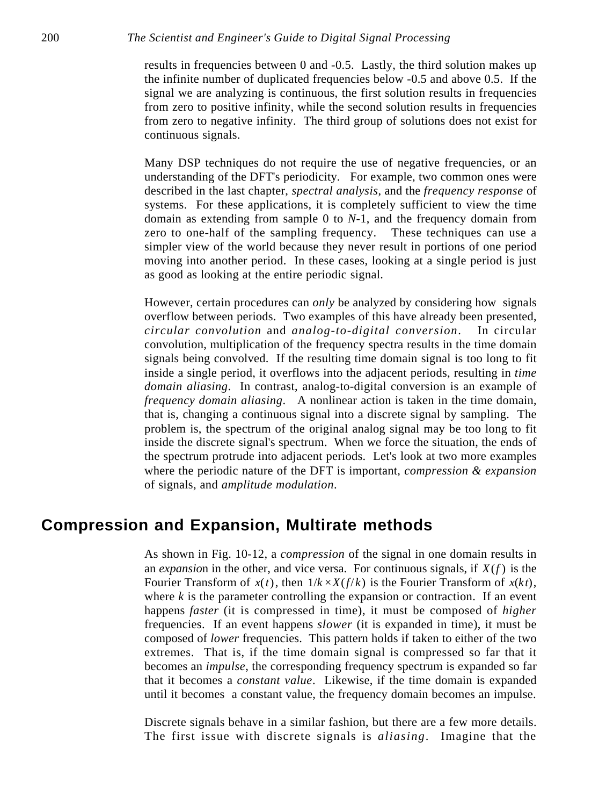### 200 *The Scientist and Engineer's Guide to Digital Signal Processing*

results in frequencies between 0 and -0.5. Lastly, the third solution makes up the infinite number of duplicated frequencies below -0.5 and above 0.5. If the signal we are analyzing is continuous, the first solution results in frequencies from zero to positive infinity, while the second solution results in frequencies from zero to negative infinity. The third group of solutions does not exist for continuous signals.

Many DSP techniques do not require the use of negative frequencies, or an understanding of the DFT's periodicity. For example, two common ones were described in the last chapter, *spectral analysis*, and the *frequency response* of systems. For these applications, it is completely sufficient to view the time domain as extending from sample 0 to *N*-1, and the frequency domain from zero to one-half of the sampling frequency. These techniques can use a simpler view of the world because they never result in portions of one period moving into another period. In these cases, looking at a single period is just as good as looking at the entire periodic signal.

However, certain procedures can *only* be analyzed by considering how signals overflow between periods. Two examples of this have already been presented, *circular convolution* and *analog-to-digital conversion*. In circular convolution, multiplication of the frequency spectra results in the time domain signals being convolved. If the resulting time domain signal is too long to fit inside a single period, it overflows into the adjacent periods, resulting in *time domain aliasing*. In contrast, analog-to-digital conversion is an example of *frequency domain aliasing*. A nonlinear action is taken in the time domain, that is, changing a continuous signal into a discrete signal by sampling. The problem is, the spectrum of the original analog signal may be too long to fit inside the discrete signal's spectrum. When we force the situation, the ends of the spectrum protrude into adjacent periods. Let's look at two more examples where the periodic nature of the DFT is important, *compression & expansion* of signals, and *amplitude modulation*.

## **Compression and Expansion, Multirate methods**

As shown in Fig. 10-12, a *compression* of the signal in one domain results in an *expansion* in the other, and vice versa. For continuous signals, if  $X(f)$  is the Fourier Transform of  $x(t)$ , then  $1/k \times X(f/k)$  is the Fourier Transform of  $x(kt)$ , where *k* is the parameter controlling the expansion or contraction. If an event happens *faster* (it is compressed in time), it must be composed of *higher* frequencies. If an event happens *slower* (it is expanded in time), it must be composed of *lower* frequencies. This pattern holds if taken to either of the two extremes. That is, if the time domain signal is compressed so far that it becomes an *impulse*, the corresponding frequency spectrum is expanded so far that it becomes a *constant value*. Likewise, if the time domain is expanded until it becomes a constant value, the frequency domain becomes an impulse.

Discrete signals behave in a similar fashion, but there are a few more details. The first issue with discrete signals is *aliasing*. Imagine that the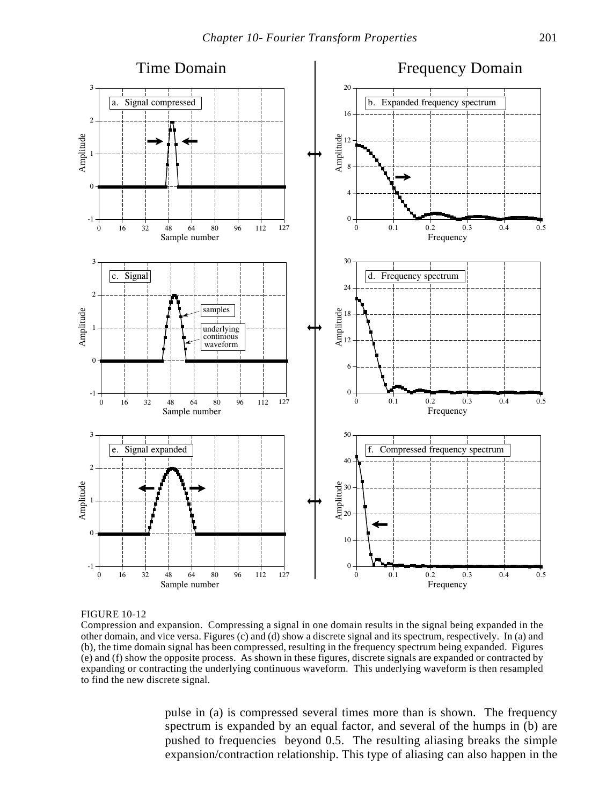

FIGURE 10-12

Compression and expansion. Compressing a signal in one domain results in the signal being expanded in the other domain, and vice versa. Figures (c) and (d) show a discrete signal and its spectrum, respectively. In (a) and (b), the time domain signal has been compressed, resulting in the frequency spectrum being expanded. Figures (e) and (f) show the opposite process. As shown in these figures, discrete signals are expanded or contracted by expanding or contracting the underlying continuous waveform. This underlying waveform is then resampled to find the new discrete signal.

pulse in (a) is compressed several times more than is shown. The frequency spectrum is expanded by an equal factor, and several of the humps in (b) are pushed to frequencies beyond 0.5. The resulting aliasing breaks the simple expansion/contraction relationship. This type of aliasing can also happen in the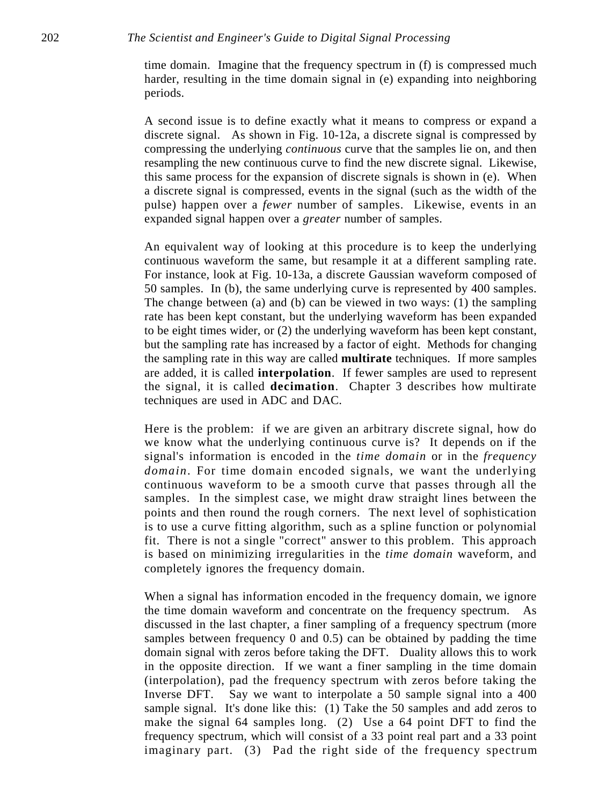time domain. Imagine that the frequency spectrum in (f) is compressed much harder, resulting in the time domain signal in (e) expanding into neighboring periods.

A second issue is to define exactly what it means to compress or expand a discrete signal. As shown in Fig. 10-12a, a discrete signal is compressed by compressing the underlying *continuous* curve that the samples lie on, and then resampling the new continuous curve to find the new discrete signal. Likewise, this same process for the expansion of discrete signals is shown in (e). When a discrete signal is compressed, events in the signal (such as the width of the pulse) happen over a *fewer* number of samples. Likewise, events in an expanded signal happen over a *greater* number of samples.

An equivalent way of looking at this procedure is to keep the underlying continuous waveform the same, but resample it at a different sampling rate. For instance, look at Fig. 10-13a, a discrete Gaussian waveform composed of 50 samples. In (b), the same underlying curve is represented by 400 samples. The change between (a) and (b) can be viewed in two ways: (1) the sampling rate has been kept constant, but the underlying waveform has been expanded to be eight times wider, or (2) the underlying waveform has been kept constant, but the sampling rate has increased by a factor of eight. Methods for changing the sampling rate in this way are called **multirate** techniques. If more samples are added, it is called **interpolation**. If fewer samples are used to represent the signal, it is called **decimation**. Chapter 3 describes how multirate techniques are used in ADC and DAC.

Here is the problem: if we are given an arbitrary discrete signal, how do we know what the underlying continuous curve is? It depends on if the signal's information is encoded in the *time domain* or in the *frequency domain*. For time domain encoded signals, we want the underlying continuous waveform to be a smooth curve that passes through all the samples. In the simplest case, we might draw straight lines between the points and then round the rough corners. The next level of sophistication is to use a curve fitting algorithm, such as a spline function or polynomial fit. There is not a single "correct" answer to this problem. This approach is based on minimizing irregularities in the *time domain* waveform, and completely ignores the frequency domain.

When a signal has information encoded in the frequency domain, we ignore the time domain waveform and concentrate on the frequency spectrum. As discussed in the last chapter, a finer sampling of a frequency spectrum (more samples between frequency 0 and 0.5) can be obtained by padding the time domain signal with zeros before taking the DFT. Duality allows this to work in the opposite direction. If we want a finer sampling in the time domain (interpolation), pad the frequency spectrum with zeros before taking the Inverse DFT. Say we want to interpolate a 50 sample signal into a 400 sample signal. It's done like this: (1) Take the 50 samples and add zeros to make the signal 64 samples long. (2) Use a 64 point DFT to find the frequency spectrum, which will consist of a 33 point real part and a 33 point imaginary part. (3) Pad the right side of the frequency spectrum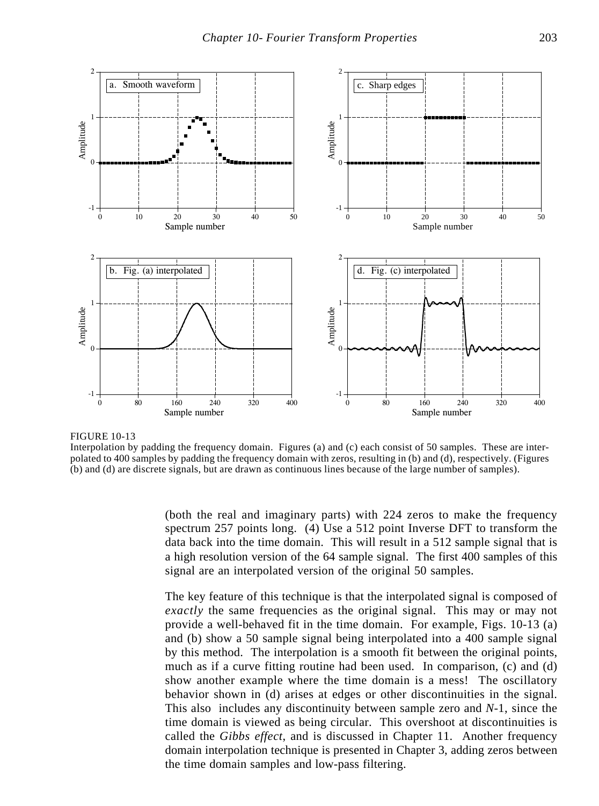

FIGURE 10-13

Interpolation by padding the frequency domain. Figures (a) and (c) each consist of 50 samples. These are interpolated to 400 samples by padding the frequency domain with zeros, resulting in (b) and (d), respectively. (Figures (b) and (d) are discrete signals, but are drawn as continuous lines because of the large number of samples).

(both the real and imaginary parts) with 224 zeros to make the frequency spectrum 257 points long. (4) Use a 512 point Inverse DFT to transform the data back into the time domain. This will result in a 512 sample signal that is a high resolution version of the 64 sample signal. The first 400 samples of this signal are an interpolated version of the original 50 samples.

The key feature of this technique is that the interpolated signal is composed of *exactly* the same frequencies as the original signal. This may or may not provide a well-behaved fit in the time domain. For example, Figs. 10-13 (a) and (b) show a 50 sample signal being interpolated into a 400 sample signal by this method. The interpolation is a smooth fit between the original points, much as if a curve fitting routine had been used. In comparison, (c) and (d) show another example where the time domain is a mess! The oscillatory behavior shown in (d) arises at edges or other discontinuities in the signal. This also includes any discontinuity between sample zero and *N*-1, since the time domain is viewed as being circular. This overshoot at discontinuities is called the *Gibbs effect*, and is discussed in Chapter 11. Another frequency domain interpolation technique is presented in Chapter 3, adding zeros between the time domain samples and low-pass filtering.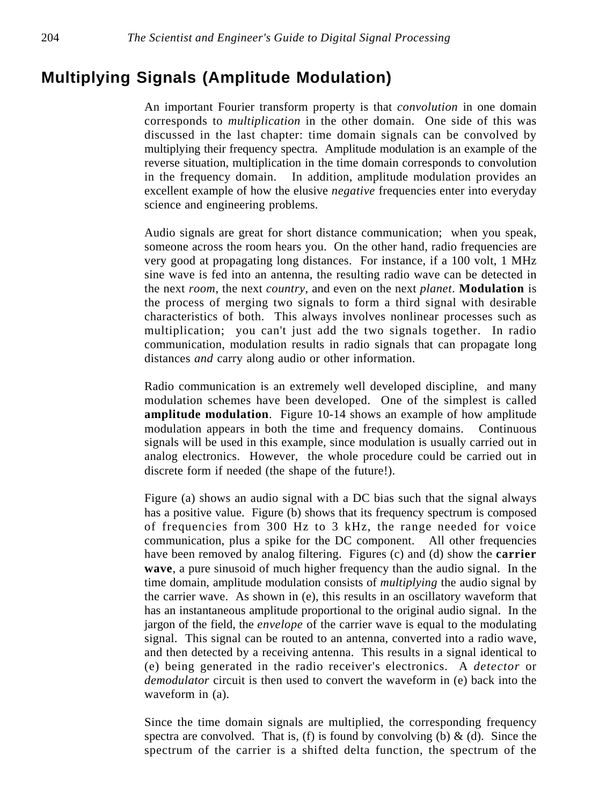# **Multiplying Signals (Amplitude Modulation)**

An important Fourier transform property is that *convolution* in one domain corresponds to *multiplication* in the other domain. One side of this was discussed in the last chapter: time domain signals can be convolved by multiplying their frequency spectra. Amplitude modulation is an example of the reverse situation, multiplication in the time domain corresponds to convolution in the frequency domain. In addition, amplitude modulation provides an excellent example of how the elusive *negative* frequencies enter into everyday science and engineering problems.

Audio signals are great for short distance communication; when you speak, someone across the room hears you. On the other hand, radio frequencies are very good at propagating long distances. For instance, if a 100 volt, 1 MHz sine wave is fed into an antenna, the resulting radio wave can be detected in the next *room*, the next *country*, and even on the next *planet*. **Modulation** is the process of merging two signals to form a third signal with desirable characteristics of both. This always involves nonlinear processes such as multiplication; you can't just add the two signals together. In radio communication, modulation results in radio signals that can propagate long distances *and* carry along audio or other information.

Radio communication is an extremely well developed discipline, and many modulation schemes have been developed. One of the simplest is called **amplitude modulation**. Figure 10-14 shows an example of how amplitude modulation appears in both the time and frequency domains. Continuous signals will be used in this example, since modulation is usually carried out in analog electronics. However, the whole procedure could be carried out in discrete form if needed (the shape of the future!).

Figure (a) shows an audio signal with a DC bias such that the signal always has a positive value. Figure (b) shows that its frequency spectrum is composed of frequencies from 300 Hz to 3 kHz, the range needed for voice communication, plus a spike for the DC component. All other frequencies have been removed by analog filtering. Figures (c) and (d) show the **carrier wave**, a pure sinusoid of much higher frequency than the audio signal. In the time domain, amplitude modulation consists of *multiplying* the audio signal by the carrier wave. As shown in (e), this results in an oscillatory waveform that has an instantaneous amplitude proportional to the original audio signal. In the jargon of the field, the *envelope* of the carrier wave is equal to the modulating signal. This signal can be routed to an antenna, converted into a radio wave, and then detected by a receiving antenna. This results in a signal identical to (e) being generated in the radio receiver's electronics. A *detector* or *demodulator* circuit is then used to convert the waveform in (e) back into the waveform in (a).

Since the time domain signals are multiplied, the corresponding frequency spectra are convolved. That is, (f) is found by convolving (b)  $\&$  (d). Since the spectrum of the carrier is a shifted delta function, the spectrum of the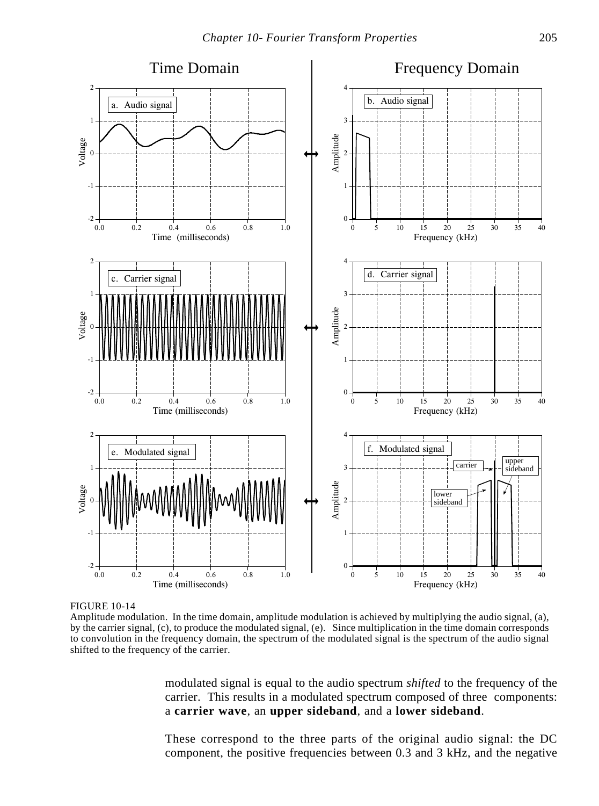

FIGURE 10-14

Amplitude modulation. In the time domain, amplitude modulation is achieved by multiplying the audio signal, (a), by the carrier signal, (c), to produce the modulated signal, (e). Since multiplication in the time domain corresponds to convolution in the frequency domain, the spectrum of the modulated signal is the spectrum of the audio signal shifted to the frequency of the carrier.

modulated signal is equal to the audio spectrum *shifted* to the frequency of the carrier. This results in a modulated spectrum composed of three components: a **carrier wave**, an **upper sideband**, and a **lower sideband**.

These correspond to the three parts of the original audio signal: the DC component, the positive frequencies between 0.3 and 3 kHz, and the negative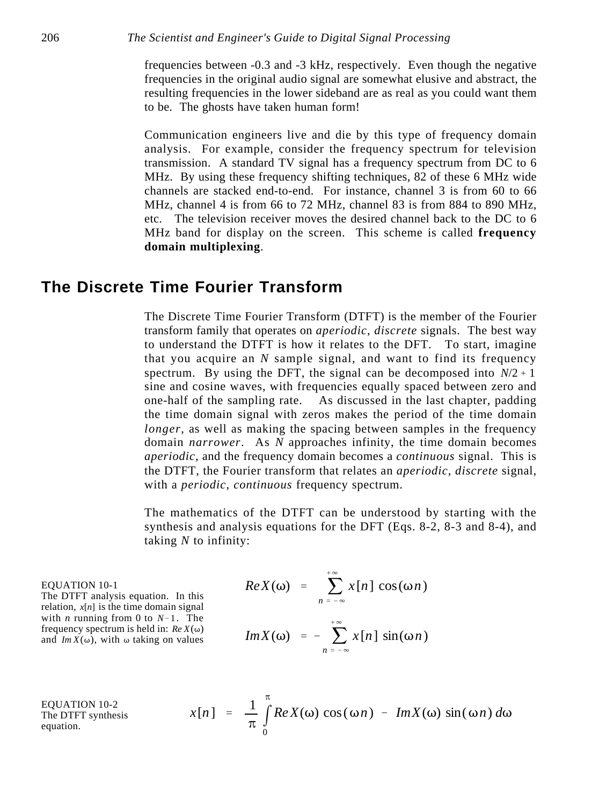frequencies between -0.3 and -3 kHz, respectively. Even though the negative frequencies in the original audio signal are somewhat elusive and abstract, the resulting frequencies in the lower sideband are as real as you could want them to be. The ghosts have taken human form!

Communication engineers live and die by this type of frequency domain analysis. For example, consider the frequency spectrum for television transmission. A standard TV signal has a frequency spectrum from DC to 6 MHz. By using these frequency shifting techniques, 82 of these 6 MHz wide channels are stacked end-to-end. For instance, channel 3 is from 60 to 66 MHz, channel 4 is from 66 to 72 MHz, channel 83 is from 884 to 890 MHz, etc. The television receiver moves the desired channel back to the DC to 6 MHz band for display on the screen. This scheme is called **frequency domain multiplexing**.

### **The Discrete Time Fourier Transform**

The Discrete Time Fourier Transform (DTFT) is the member of the Fourier transform family that operates on *aperiodic*, *discrete* signals. The best way to understand the DTFT is how it relates to the DFT. To start, imagine that you acquire an *N* sample signal, and want to find its frequency spectrum. By using the DFT, the signal can be decomposed into  $N/2 + 1$ sine and cosine waves, with frequencies equally spaced between zero and one-half of the sampling rate. As discussed in the last chapter, padding the time domain signal with zeros makes the period of the time domain *longer*, as well as making the spacing between samples in the frequency domain *narrower*. As *N* approaches infinity, the time domain becomes *aperiodic*, and the frequency domain becomes a *continuous* signal. This is the DTFT, the Fourier transform that relates an *aperiodic*, *discrete* signal, with a *periodic*, *continuous* frequency spectrum.

The mathematics of the DTFT can be understood by starting with the synthesis and analysis equations for the DFT (Eqs. 8-2, 8-3 and 8-4), and taking *N* to infinity:

EQUATION 10-1

The DTFT analysis equation. In this relation,  $x[n]$  is the time domain signal with *n* running from 0 to  $N-1$ . The frequency spectrum is held in:  $Re X(\omega)$ and  $Im X(\omega)$ , with  $\omega$  taking on values

$$
Re X(\omega) = \sum_{n = -\infty}^{+\infty} x[n] \cos(\omega n)
$$

$$
Im X(\omega) = -\sum_{n = -\infty}^{+\infty} x[n] \sin(\omega n)
$$

EQUATION 10-2 The DTFT synthesis equation.

$$
x[n] = \frac{1}{\pi} \int_{0}^{\pi} Re X(\omega) \cos(\omega n) - Im X(\omega) \sin(\omega n) d\omega
$$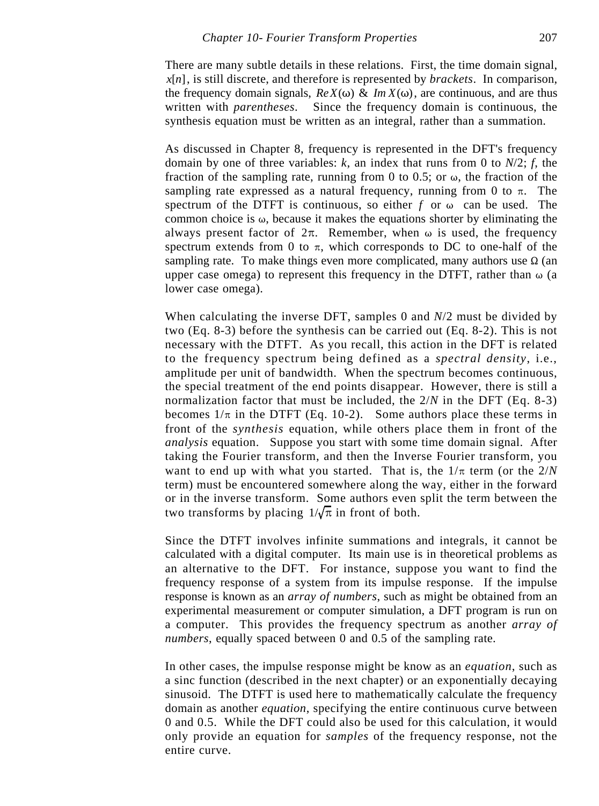There are many subtle details in these relations. First, the time domain signal, *x*[*n*], is still discrete, and therefore is represented by *brackets*. In comparison, the frequency domain signals,  $ReX(\omega) \& Im X(\omega)$ , are continuous, and are thus written with *parentheses*. Since the frequency domain is continuous, the synthesis equation must be written as an integral, rather than a summation.

As discussed in Chapter 8, frequency is represented in the DFT's frequency domain by one of three variables: *k*, an index that runs from 0 to *N*/2; *f*, the fraction of the sampling rate, running from 0 to 0.5; or  $\omega$ , the fraction of the sampling rate expressed as a natural frequency, running from 0 to  $\pi$ . The spectrum of the DTFT is continuous, so either  $f$  or  $\omega$  can be used. The common choice is  $\omega$ , because it makes the equations shorter by eliminating the always present factor of  $2\pi$ . Remember, when  $\omega$  is used, the frequency spectrum extends from 0 to  $\pi$ , which corresponds to DC to one-half of the sampling rate. To make things even more complicated, many authors use  $\Omega$  (an upper case omega) to represent this frequency in the DTFT, rather than  $\omega$  (a lower case omega).

When calculating the inverse DFT, samples 0 and *N*/2 must be divided by two (Eq. 8-3) before the synthesis can be carried out (Eq. 8-2). This is not necessary with the DTFT. As you recall, this action in the DFT is related to the frequency spectrum being defined as a *spectral density*, i.e., amplitude per unit of bandwidth. When the spectrum becomes continuous, the special treatment of the end points disappear. However, there is still a normalization factor that must be included, the 2/*N* in the DFT (Eq. 8-3) becomes  $1/\pi$  in the DTFT (Eq. 10-2). Some authors place these terms in front of the *synthesis* equation, while others place them in front of the *analysis* equation. Suppose you start with some time domain signal. After taking the Fourier transform, and then the Inverse Fourier transform, you want to end up with what you started. That is, the  $1/\pi$  term (or the  $2/N$ term) must be encountered somewhere along the way, either in the forward or in the inverse transform. Some authors even split the term between the two transforms by placing  $1/\sqrt{\pi}$  in front of both.

Since the DTFT involves infinite summations and integrals, it cannot be calculated with a digital computer. Its main use is in theoretical problems as an alternative to the DFT. For instance, suppose you want to find the frequency response of a system from its impulse response. If the impulse response is known as an *array of numbers*, such as might be obtained from an experimental measurement or computer simulation, a DFT program is run on a computer. This provides the frequency spectrum as another *array of numbers*, equally spaced between 0 and 0.5 of the sampling rate.

In other cases, the impulse response might be know as an *equation*, such as a sinc function (described in the next chapter) or an exponentially decaying sinusoid. The DTFT is used here to mathematically calculate the frequency domain as another *equation*, specifying the entire continuous curve between 0 and 0.5. While the DFT could also be used for this calculation, it would only provide an equation for *samples* of the frequency response, not the entire curve.